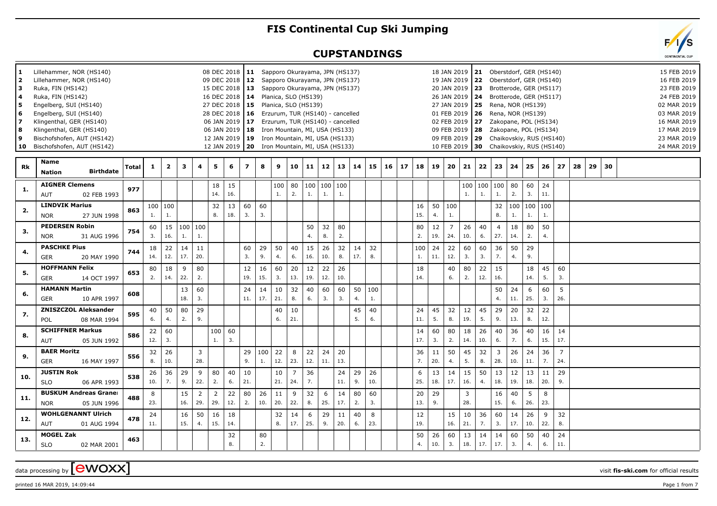## **FIS Continental Cup Ski Jumping**

## **CUPSTANDINGS**

| 1.<br>2<br>з<br>4<br>5<br>6<br>7<br>8<br>9<br>10 | Lillehammer, NOR (HS140)<br>Lillehammer, NOR (HS140)<br>Ruka, FIN (HS142)<br>Ruka, FIN (HS142)<br>Engelberg, SUI (HS140)<br>Engelberg, SUI (HS140)<br>Klingenthal, GER (HS140)<br>Klingenthal, GER (HS140)<br>Bischofshofen, AUT (HS142)<br>Bischofshofen, AUT (HS142) |              |              |                         |                              |                       |                       |           | 08 DEC 2018   11 Sapporo Okurayama, JPN (HS137)<br>09 DEC 2018   12 Sapporo Okurayama, JPN (HS137)<br>15 DEC 2018   13 Sapporo Okurayama, JPN (HS137)<br>16 DEC 2018   14 Planica, SLO (HS139)<br>27 DEC 2018   15 Planica, SLO (HS139)<br>28 DEC 2018   16 Erzurum, TUR (HS140) - cancelled<br>06 JAN 2019   17 Erzurum, TUR (HS140) - cancelled<br>06 JAN 2019   18 Iron Mountain, MI, USA (HS133)<br>12 JAN 2019   19 Iron Mountain, MI, USA (HS133)<br>12 JAN 2019   20 Iron Mountain, MI, USA (HS133) |           |                            |                       |            |               |           |           |           |  |                     |           | 19 JAN 2019   22<br>27 JAN 2019   25<br>02 FEB 2019 27 |                   |                        | 18 JAN 2019   21 Oberstdorf, GER (HS140)<br>Oberstdorf, GER (HS140)<br>20 JAN 2019   23 Brotterode, GER (HS117)<br>26 JAN 2019   24 Brotterode, GER (HS117)<br>Rena, NOR (HS139)<br>01 FEB 2019   26 Rena, NOR (HS139)<br>Zakopane, POL (HS134)<br>09 FEB 2019   28     Zakopane, POL (HS134)<br>09 FEB 2019   29 Chaikovskiy, RUS (HS140)<br>10 FEB 2019 30 Chaikovskiy, RUS (HS140) |               |           |           |                       |    |    |    |  | 15 FEB 2019<br>16 FEB 2019<br>23 FEB 2019<br>24 FEB 2019<br>02 MAR 2019<br>03 MAR 2019<br>16 MAR 2019<br>17 MAR 2019<br>23 MAR 2019<br>24 MAR 2019 |
|--------------------------------------------------|------------------------------------------------------------------------------------------------------------------------------------------------------------------------------------------------------------------------------------------------------------------------|--------------|--------------|-------------------------|------------------------------|-----------------------|-----------------------|-----------|------------------------------------------------------------------------------------------------------------------------------------------------------------------------------------------------------------------------------------------------------------------------------------------------------------------------------------------------------------------------------------------------------------------------------------------------------------------------------------------------------------|-----------|----------------------------|-----------------------|------------|---------------|-----------|-----------|-----------|--|---------------------|-----------|--------------------------------------------------------|-------------------|------------------------|---------------------------------------------------------------------------------------------------------------------------------------------------------------------------------------------------------------------------------------------------------------------------------------------------------------------------------------------------------------------------------------|---------------|-----------|-----------|-----------------------|----|----|----|--|----------------------------------------------------------------------------------------------------------------------------------------------------|
| <b>Rk</b>                                        | Name<br><b>Birthdate</b><br><b>Nation</b>                                                                                                                                                                                                                              | <b>Total</b> | $\mathbf{1}$ | $\overline{\mathbf{2}}$ | 3                            | 4                     | 5                     | 6         | $\overline{ }$                                                                                                                                                                                                                                                                                                                                                                                                                                                                                             | 8         | 9                          | 10                    | $\vert$ 11 | 12            | 13        | 14        | 15        |  | $16$   17   18   19 |           |                                                        | $20 \mid 21 \mid$ | 22                     | $23 \mid 24$                                                                                                                                                                                                                                                                                                                                                                          |               | 25        | 26        | 27                    | 28 | 29 | 30 |  |                                                                                                                                                    |
| -1.                                              | <b>AIGNER Clemens</b><br><b>AUT</b><br>02 FEB 1993                                                                                                                                                                                                                     | 977          |              |                         |                              |                       | 18<br>14.             | 15<br>16. |                                                                                                                                                                                                                                                                                                                                                                                                                                                                                                            |           | 100   80<br>$\mathbf{1}$ . | 2.                    | 100<br>1.  | 100 100<br>1. | 1.        |           |           |  |                     |           |                                                        | 100 100<br>1.     | $\mathbf{1}$ .         | 100 <br>1.                                                                                                                                                                                                                                                                                                                                                                            | 80<br>2.      | 60<br>3.  | 24<br>11. |                       |    |    |    |  |                                                                                                                                                    |
| 2.                                               | <b>LINDVIK Marius</b><br><b>NOR</b><br>27 JUN 1998                                                                                                                                                                                                                     | 863          | 1.           | 100 100<br>1.           |                              |                       | 32<br>8.              | 13<br>18. | 60<br>3.                                                                                                                                                                                                                                                                                                                                                                                                                                                                                                   | 60<br>3.  |                            |                       |            |               |           |           |           |  | 16<br>15.           | 50<br>4.  | 100                                                    |                   |                        | 32<br>8.                                                                                                                                                                                                                                                                                                                                                                              | 100 100<br>1. | 1.        | 100<br>1. |                       |    |    |    |  |                                                                                                                                                    |
| 3.                                               | <b>PEDERSEN Robin</b><br><b>NOR</b><br>31 AUG 1996                                                                                                                                                                                                                     | 754          | 60<br>3.     | 16.                     | $15 \mid 100 \mid 100$<br>1. | 1.                    |                       |           |                                                                                                                                                                                                                                                                                                                                                                                                                                                                                                            |           |                            |                       | 50<br>4.   | 32<br>8.      | 80<br>2.  |           |           |  | 80<br>2.            | 12<br>19. | $\overline{7}$<br>24.                                  | 26<br>10.         | 40<br>6.               | $\overline{4}$<br>27.                                                                                                                                                                                                                                                                                                                                                                 | 18<br>14.     | 80<br>2.  | 50<br>4.  |                       |    |    |    |  |                                                                                                                                                    |
| 4.                                               | <b>PASCHKE Pius</b><br><b>GER</b><br>20 MAY 1990                                                                                                                                                                                                                       | 744          | 18<br>14.    | 22<br>12.               | 14<br>17.                    | 11<br>20.             |                       |           | 60<br>3.                                                                                                                                                                                                                                                                                                                                                                                                                                                                                                   | 29<br>9.  | 50<br>4.                   | 40<br>6.              | 15<br>16.  | 26<br>10.     | 32<br>8.  | 14<br>17. | 32<br>8.  |  | 100<br>1.           | 24<br>11. | 22<br>12.                                              | 60<br>3.          | 60<br>3.               | 36<br>7.                                                                                                                                                                                                                                                                                                                                                                              | 50<br>4.      | 29<br>9.  |           |                       |    |    |    |  |                                                                                                                                                    |
| 5.                                               | <b>HOFFMANN Felix</b><br><b>GER</b><br>14 OCT 1997                                                                                                                                                                                                                     | 653          | 80<br>2.     | 18<br>14.               | 9<br>22.                     | 80<br>2.              |                       |           | 12<br>19.                                                                                                                                                                                                                                                                                                                                                                                                                                                                                                  | 16<br>15. | 60<br>3.                   | 20<br>13.             | 12<br>19.  | 22<br>12.     | 26<br>10. |           |           |  | 18<br>14.           |           | 40<br>6.                                               | 80<br>2.          | 22<br>12.              | 15<br>16.                                                                                                                                                                                                                                                                                                                                                                             |               | 18<br>14. | 45<br>5.  | 60<br>3.              |    |    |    |  |                                                                                                                                                    |
| 6.                                               | <b>HAMANN Martin</b><br><b>GER</b><br>10 APR 1997                                                                                                                                                                                                                      | 608          |              |                         | 13<br>18.                    | 60<br>3.              |                       |           | 24<br>11.                                                                                                                                                                                                                                                                                                                                                                                                                                                                                                  | 14<br>17. | 10<br>21.                  | 32<br>8.              | 40<br>6.   | 60<br>3.      | 60<br>3.  | 50<br>4.  | 100<br>1. |  |                     |           |                                                        |                   |                        | 50<br>4.                                                                                                                                                                                                                                                                                                                                                                              | 24<br>11.     | 6<br>25.  | 60<br>3.  | 5<br>26.              |    |    |    |  |                                                                                                                                                    |
| 7.                                               | <b>ZNISZCZOL Aleksander</b><br>POL<br>08 MAR 1994                                                                                                                                                                                                                      | 595          | 40<br>6.     | 50<br>4.                | 80<br>2.                     | 29<br>9.              |                       |           |                                                                                                                                                                                                                                                                                                                                                                                                                                                                                                            |           | 40<br>6.                   | 10<br>21.             |            |               |           | 45<br>5.  | 40<br>6.  |  | 24<br>11.           | 45<br>5.  | 32<br>8.                                               | 12<br>19.         | 45<br>5.               | 29<br>9.                                                                                                                                                                                                                                                                                                                                                                              | 20<br>13.     | 32<br>8.  | 22<br>12. |                       |    |    |    |  |                                                                                                                                                    |
| 8.                                               | <b>SCHIFFNER Markus</b><br>05 JUN 1992<br>AUT                                                                                                                                                                                                                          | 586          | 22<br>12.    | 60<br>3.                |                              |                       | 100<br>1.             | 60<br>3.  |                                                                                                                                                                                                                                                                                                                                                                                                                                                                                                            |           |                            |                       |            |               |           |           |           |  | 14<br>17.           | 60<br>3.  | 80<br>2.                                               | 18<br>14.         | 26<br>10.              | 40<br>6.                                                                                                                                                                                                                                                                                                                                                                              | 36<br>7.      | 40<br>6.  | 16<br>15. | 14<br>17.             |    |    |    |  |                                                                                                                                                    |
| 9.                                               | <b>BAER Moritz</b><br><b>GER</b><br>16 MAY 1997                                                                                                                                                                                                                        | 556          | 32<br>8.     | 26<br>10.               |                              | $\overline{3}$<br>28. |                       |           | 29<br>9.                                                                                                                                                                                                                                                                                                                                                                                                                                                                                                   | 100<br>1. | 22<br>12.                  | 8<br>23.              | 22<br>12.  | 24<br>11.     | 20<br>13. |           |           |  | 36<br>7.            | 11<br>20. | 50<br>4.                                               | 45<br>5.          | 32<br>8.               | $\mathbf{3}$<br>28.                                                                                                                                                                                                                                                                                                                                                                   | 26<br>10.     | 24<br>11. | 36<br>7.  | $\overline{7}$<br>24. |    |    |    |  |                                                                                                                                                    |
| 10.                                              | <b>JUSTIN Rok</b><br><b>SLO</b><br>06 APR 1993                                                                                                                                                                                                                         | 538          | 26<br>10.    | 36<br>7.                | 29<br>9.                     | 9<br>22.              | 80<br>2.              | 40<br>6.  | 10<br>21.                                                                                                                                                                                                                                                                                                                                                                                                                                                                                                  |           | 10<br>21.                  | $\overline{7}$<br>24. | 36<br>7.   |               | 24<br>11. | 29<br>9.  | 26<br>10. |  | 6<br>25.            | 13<br>18. | 14<br>17.                                              | 15<br>16.         | 50<br>$\overline{4}$ . | 13<br>18.                                                                                                                                                                                                                                                                                                                                                                             | 12<br>19.     | 13<br>18. | 11<br>20. | 29<br>9.              |    |    |    |  |                                                                                                                                                    |
| 11.                                              | <b>BUSKUM Andreas Graner</b><br>05 JUN 1996<br><b>NOR</b>                                                                                                                                                                                                              | 488          | 8<br>23.     |                         | 15<br>16.                    | 2<br>29.              | $\overline{2}$<br>29. | 22<br>12. | 80<br>2.                                                                                                                                                                                                                                                                                                                                                                                                                                                                                                   | 26<br>10. | 11<br>20.                  | 9<br>22.              | 32<br>8.   | 6<br>25.      | 14<br>17. | 80<br>2.  | 60<br>3.  |  | 20<br>13.           | 29<br>9.  |                                                        | 3<br>28.          |                        | 16<br>15.                                                                                                                                                                                                                                                                                                                                                                             | 40<br>6.      | 5<br>26.  | 8<br>23.  |                       |    |    |    |  |                                                                                                                                                    |
| 12.                                              | <b>WOHLGENANNT Ulrich</b><br><b>AUT</b><br>01 AUG 1994                                                                                                                                                                                                                 | 478          | 24<br>11.    |                         | 16<br>15.                    | 50<br>4.              | 16<br>15.             | 18<br>14. |                                                                                                                                                                                                                                                                                                                                                                                                                                                                                                            |           | 32<br>8.                   | 14<br>17.             | 6<br>25.   | 29<br>9.      | 11<br>20. | 40<br>6.  | 8<br>23.  |  | 12<br>19.           |           | 15<br>16.                                              | 10<br>21.         | 36<br>7.               | 60<br>3.                                                                                                                                                                                                                                                                                                                                                                              | 14<br>17.     | 26<br>10. | 9<br>22.  | 32<br>8.              |    |    |    |  |                                                                                                                                                    |
| 13.                                              | <b>MOGEL Zak</b><br><b>SLO</b><br>02 MAR 2001                                                                                                                                                                                                                          | 463          |              |                         |                              |                       |                       | 32<br>8.  |                                                                                                                                                                                                                                                                                                                                                                                                                                                                                                            | 80<br>2.  |                            |                       |            |               |           |           |           |  | 50<br>4.            | 26<br>10. | 60<br>3.                                               | 13<br>18.         | 14<br>17.              | 14<br>17.                                                                                                                                                                                                                                                                                                                                                                             | 60<br>3.      | 50<br>4.  | 40<br>6.  | 24<br>11.             |    |    |    |  |                                                                                                                                                    |

 $p$ rinted 16 MAR 2019, 14:09:44  $p$ 

data processing by **CWOXX** wisit **fis-ski.com** for official results



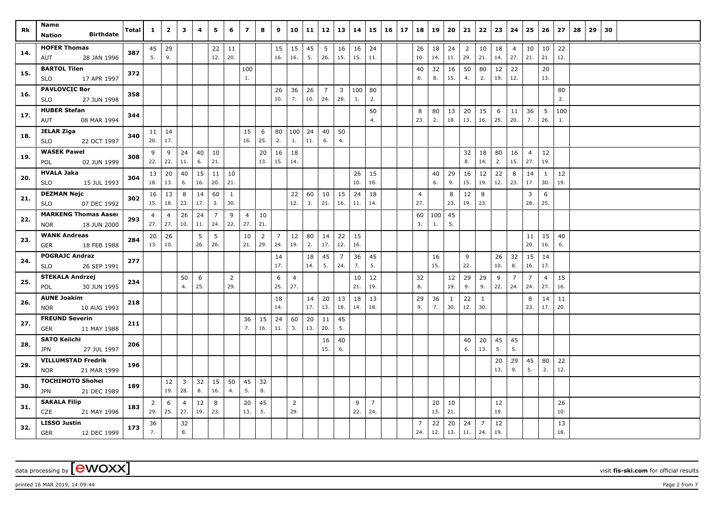| Rk  | Name<br><b>Birthdate</b><br>Nation                       | Total | $\mathbf{1}$          | $\overline{2}$       | 3                              | 4         | 5         | 6                     | $\overline{ }$        | 8                     | 9                     | 10                    | 11        | 12        | 13                             | 14        | 15                    | $16 \mid 17$ | 18                    | 19        | 20        | 21                    | 22        | 23        | 24                    | 25                    | 26                    | 27        | 28 | 29 | 30 |  |  |  |
|-----|----------------------------------------------------------|-------|-----------------------|----------------------|--------------------------------|-----------|-----------|-----------------------|-----------------------|-----------------------|-----------------------|-----------------------|-----------|-----------|--------------------------------|-----------|-----------------------|--------------|-----------------------|-----------|-----------|-----------------------|-----------|-----------|-----------------------|-----------------------|-----------------------|-----------|----|----|----|--|--|--|
| 14. | <b>HOFER Thomas</b><br>28 JAN 1996<br>AUT                | 387   | 45<br>5.              | 29<br>9.             |                                |           | 22<br>12. | 11<br>20.             |                       |                       | 15<br>16.             | 15<br>16.             | 45<br>5.  | 5<br>26.  | 16<br>15.                      | 16<br>15. | 24<br>11.             |              | 26<br>10.             | 18<br>14. | 24<br>11. | $\overline{2}$<br>29. | 10<br>21. | 18<br>14. | $\overline{4}$<br>27. | 10<br>21.             | 10<br>21.             | 22<br>12. |    |    |    |  |  |  |
| 15. | <b>BARTOL Tilen</b><br>17 APR 1997<br>SLO                | 372   |                       |                      |                                |           |           |                       | 100<br>1.             |                       |                       |                       |           |           |                                |           |                       |              | 40<br>6.              | 32<br>8.  | 16<br>15. | 50<br>4.              | 80<br>2.  | 12<br>19. | 22<br>12.             |                       | 20<br>13.             |           |    |    |    |  |  |  |
| 16. | <b>PAVLOVCIC Bor</b><br><b>SLO</b><br>27 JUN 1998        | 358   |                       |                      |                                |           |           |                       |                       |                       | 26<br>10.             | 36<br>7.              | 26<br>10. | 7<br>24.  | $\overline{\mathbf{3}}$<br>28. | 100<br>1. | 80<br>2.              |              |                       |           |           |                       |           |           |                       |                       |                       | 80<br>2.  |    |    |    |  |  |  |
| 17. | <b>HUBER Stefan</b><br>08 MAR 1994<br>AUT                | 344   |                       |                      |                                |           |           |                       |                       |                       |                       |                       |           |           |                                |           | 50<br>4.              |              | 8<br>23.              | 80<br>2.  | 13<br>18. | 20<br>13.             | 15<br>16. | 6<br>25.  | 11<br>20.             | 36<br>7.              | 5<br>26.              | 100<br>1. |    |    |    |  |  |  |
| 18. | <b>JELAR Ziga</b><br>22 OCT 1997<br><b>SLO</b>           | 340   | 20.                   | $11 \mid 14$<br> 17. |                                |           |           |                       | 15<br>16.             | 6<br>25.              | 80<br>2.              | 100<br>1.             | 24<br>11. | 40<br>6.  | 50<br>4.                       |           |                       |              |                       |           |           |                       |           |           |                       |                       |                       |           |    |    |    |  |  |  |
| 19. | <b>WASEK Pawel</b><br>02 JUN 1999<br>POL                 | 308   | 9<br>22.              | 9<br>22.             | 24<br>11.                      | 40<br>6.  | 10<br>21. |                       |                       | 20<br>13.             | 16<br>15.             | 18<br>14.             |           |           |                                |           |                       |              |                       |           |           | 32<br>8.              | 18<br>14. | 80<br>2.  | 16<br>15.             | $\overline{4}$<br>27. | 12<br>19.             |           |    |    |    |  |  |  |
| 20. | <b>HVALA Jaka</b><br>SLO<br>15 JUL 1993                  | 304   | 13<br>18.             | 20<br>13.            | 40<br>6.                       | 15<br>16. | 11<br>20. | 10<br>21.             |                       |                       |                       |                       |           |           |                                | 26<br>10. | 15<br>16.             |              |                       | 40<br>6.  | 29<br>9.  | 16<br>15.             | 12<br>19. | 22<br>12. | 8<br>23.              | 14<br>17.             | $\mathbf{1}$<br>30.   | 12<br>19. |    |    |    |  |  |  |
| 21. | <b>DEZMAN Nejc</b><br><b>SLO</b><br>07 DEC 1992          | 302   | 16<br>15.             | 13<br>18.            | 8<br>23.                       | 14<br>17. | 60<br>3.  | 1<br>30.              |                       |                       |                       | 22<br>12.             | 60<br>3.  | 10<br>21. | 15<br>16.                      | 24<br>11. | 18<br>14.             |              | 4<br>27.              |           | 8<br>23.  | 12<br>19.             | 8<br>23.  |           |                       | 3<br>28.              | 6<br>25.              |           |    |    |    |  |  |  |
| 22. | <b>MARKENG Thomas Aaser</b><br>18 JUN 2000<br><b>NOR</b> | 293   | 4<br>$27.$ 27.        | $\overline{4}$       | 26<br>10.                      | 24<br>11. | 7<br>24.  | 9<br>22.              | $\overline{4}$<br>27. | 10<br>21.             |                       |                       |           |           |                                |           |                       |              | 60<br>3.              | 100<br>1. | 45<br>5.  |                       |           |           |                       |                       |                       |           |    |    |    |  |  |  |
| 23. | <b>WANK Andreas</b><br>GER<br>18 FEB 1988                | 284   | 20<br>13.             | 26<br>10.            |                                | 5<br>26.  | 5<br>26.  |                       | 10<br>21.             | $\overline{2}$<br>29. | $\overline{7}$<br>24. | 12<br>19.             | 80<br>2.  | 14<br>17. | 22<br>12.                      | 15<br>16. |                       |              |                       |           |           |                       |           |           |                       | 11<br>20.             | 15<br>16.             | 40<br>6.  |    |    |    |  |  |  |
| 24. | <b>POGRAJC Andraz</b><br>26 SEP 1991<br><b>SLO</b>       | 277   |                       |                      |                                |           |           |                       |                       |                       | 14<br>17.             |                       | 18<br>14. | 45<br>5.  | 7<br>24.                       | 36<br>7.  | 45<br>5.              |              |                       | 16<br>15. |           | 9<br>22.              |           | 26<br>10. | 32<br>8.              | 15<br>16.             | 14<br>17.             |           |    |    |    |  |  |  |
| 25. | <b>STEKALA Andrzej</b><br>30 JUN 1995<br>POL             | 234   |                       |                      | 50<br>4.                       | 6<br>25.  |           | $\overline{2}$<br>29. |                       |                       | 6<br>25.              | 4<br>27.              |           |           |                                | 10<br>21. | 12<br>19.             |              | 32<br>8.              |           | 12<br>19. | 29<br>9.              | 29<br>9.  | 9<br>22.  | $\overline{7}$<br>24. | $\overline{7}$<br>24. | $\overline{4}$<br>27. | 15<br>16. |    |    |    |  |  |  |
| 26. | <b>AUNE Joakim</b><br>10 AUG 1993<br><b>NOR</b>          | 218   |                       |                      |                                |           |           |                       |                       |                       | 18<br>14.             |                       | 14<br>17. | 20<br>13. | 13<br>18.                      | 18<br>14. | 13<br>18.             |              | 29<br>9.              | 36<br>7.  | 1<br>30.  | 22<br>12.             | 1<br>30.  |           |                       | 8<br>23.              | 14<br>17.             | 11<br>20. |    |    |    |  |  |  |
| 27. | <b>FREUND Severin</b><br><b>GER</b><br>11 MAY 1988       | 211   |                       |                      |                                |           |           |                       | 36<br>7.              | 15<br>16.             | 24<br>11.             | 60<br>3.              | 20<br>13. | 11<br>20. | 45<br>5.                       |           |                       |              |                       |           |           |                       |           |           |                       |                       |                       |           |    |    |    |  |  |  |
| 28. | <b>SATO Keiichi</b><br>27 JUL 1997<br>JPN                | 206   |                       |                      |                                |           |           |                       |                       |                       |                       |                       |           | 16<br>15. | 40<br>6.                       |           |                       |              |                       |           |           | 40<br>6.              | 20<br>13. | 45<br>5.  | 45<br>5.              |                       |                       |           |    |    |    |  |  |  |
| 29. | <b>VILLUMSTAD Fredrik</b><br>21 MAR 1999<br><b>NOR</b>   | 196   |                       |                      |                                |           |           |                       |                       |                       |                       |                       |           |           |                                |           |                       |              |                       |           |           |                       |           | 20<br>13. | 29<br>9.              | 45<br>5.              | 80<br>2.              | 22<br>12. |    |    |    |  |  |  |
| 30. | <b>TOCHIMOTO Shohei</b><br>JPN<br>21 DEC 1989            | 189   |                       | 12<br>19.            | $\overline{\mathbf{3}}$<br>28. | 32<br>8.  | 15<br>16. | 50<br>4.              | 45<br>5.              | 32<br>8.              |                       |                       |           |           |                                |           |                       |              |                       |           |           |                       |           |           |                       |                       |                       |           |    |    |    |  |  |  |
| 31. | <b>SAKALA Filip</b><br>CZE<br>21 MAY 1996                | 183   | $\overline{2}$<br>29. | 6<br>25.             | $\overline{4}$<br>27.          | 12<br>19. | 8<br>23.  |                       | 20<br>13.             | 45<br>5.              |                       | $\overline{2}$<br>29. |           |           |                                | 9<br>22.  | $\overline{7}$<br>24. |              |                       | 20<br>13. | 10<br>21. |                       |           | 12<br>19. |                       |                       |                       | 26<br>10. |    |    |    |  |  |  |
| 32. | <b>LISSO Justin</b><br>12 DEC 1999<br><b>GER</b>         | 173   | 36<br>7.              |                      | 32<br>8.                       |           |           |                       |                       |                       |                       |                       |           |           |                                |           |                       |              | $\overline{7}$<br>24. | 22<br>12. | 20<br>13. | 24<br>11.             | 7<br>24.  | 12<br>19. |                       |                       |                       | 13<br>18. |    |    |    |  |  |  |

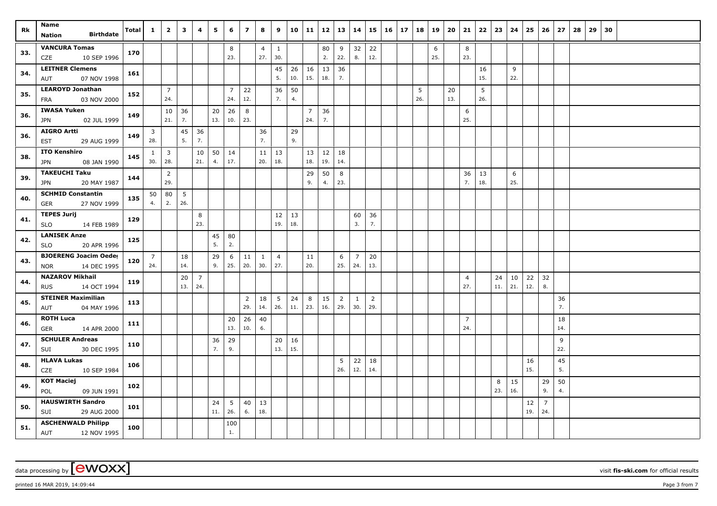| Rk  | Name<br><b>Birthdate</b><br><b>Nation</b>                 | Total | $\mathbf{1}$          | $\overline{2}$        | 3         | 4                     | 5         | 6                     | $\overline{z}$        | 8                     | 9                     | 10        | 11                    | 12        | 13                    | 14                    | 15                    | <b>16</b> | 17 | 18       | 19       | 20        | 21                    | 22        | 23             | 24        | 25        | 26                    | 27        | 28 | 29 | 30 |  |  |  |
|-----|-----------------------------------------------------------|-------|-----------------------|-----------------------|-----------|-----------------------|-----------|-----------------------|-----------------------|-----------------------|-----------------------|-----------|-----------------------|-----------|-----------------------|-----------------------|-----------------------|-----------|----|----------|----------|-----------|-----------------------|-----------|----------------|-----------|-----------|-----------------------|-----------|----|----|----|--|--|--|
| 33. | <b>VANCURA Tomas</b><br>10 SEP 1996<br>CZE                | 170   |                       |                       |           |                       |           | 8<br>23.              |                       | $\overline{4}$<br>27. | $\mathbf{1}$<br>30.   |           |                       | 80<br>2.  | 9<br>22.              | 32<br>8.              | 22<br>12.             |           |    |          | 6<br>25. |           | 8<br>23.              |           |                |           |           |                       |           |    |    |    |  |  |  |
| 34. | <b>LEITNER Clemens</b><br>07 NOV 1998<br>AUT              | 161   |                       |                       |           |                       |           |                       |                       |                       | 45<br>5.              | 26<br>10. | 16<br>15.             | 13<br>18. | 36<br>7.              |                       |                       |           |    |          |          |           |                       | 16<br>15. |                | 9<br>22.  |           |                       |           |    |    |    |  |  |  |
| 35. | <b>LEAROYD Jonathan</b><br>03 NOV 2000<br><b>FRA</b>      | 152   |                       | $\overline{7}$<br>24. |           |                       |           | $\overline{7}$<br>24. | 22<br>12.             |                       | 36<br>7.              | 50<br>4.  |                       |           |                       |                       |                       |           |    | 5<br>26. |          | 20<br>13. |                       | 5<br>26.  |                |           |           |                       |           |    |    |    |  |  |  |
| 36. | <b>IWASA Yuken</b><br>02 JUL 1999<br><b>JPN</b>           | 149   |                       | $10\,$<br>21.         | 36<br>7.  |                       | 20<br>13. | 26<br>10.             | 8<br>23.              |                       |                       |           | $\overline{7}$<br>24. | 36<br>7.  |                       |                       |                       |           |    |          |          |           | 6<br>25.              |           |                |           |           |                       |           |    |    |    |  |  |  |
| 36. | <b>AIGRO Artti</b><br>29 AUG 1999<br><b>EST</b>           | 149   | 3<br>28.              |                       | 45<br>5.  | 36<br>7.              |           |                       |                       | 36<br>7.              |                       | 29<br>9.  |                       |           |                       |                       |                       |           |    |          |          |           |                       |           |                |           |           |                       |           |    |    |    |  |  |  |
| 38. | <b>ITO Kenshiro</b><br>08 JAN 1990<br>JPN                 | 145   | $\mathbf{1}$<br>30.   | $\overline{3}$<br>28. |           | 10<br>21.             | 50<br>4.  | 14<br>17.             |                       | 20.                   | $11 \mid 13$<br>18.   |           | 13<br>18.             | 12<br>19. | 18<br>14.             |                       |                       |           |    |          |          |           |                       |           |                |           |           |                       |           |    |    |    |  |  |  |
| 39. | <b>TAKEUCHI Taku</b><br>20 MAY 1987<br>JPN                | 144   |                       | $\overline{2}$<br>29. |           |                       |           |                       |                       |                       |                       |           | 29<br>9.              | 50<br>4.  | 8<br>23.              |                       |                       |           |    |          |          |           | 36<br>7.              | 13<br>18. |                | 6<br>25.  |           |                       |           |    |    |    |  |  |  |
| 40. | <b>SCHMID Constantin</b><br>27 NOV 1999<br>GER            | 135   | 50<br>4.              | 80<br>2.              | 5<br>26.  |                       |           |                       |                       |                       |                       |           |                       |           |                       |                       |                       |           |    |          |          |           |                       |           |                |           |           |                       |           |    |    |    |  |  |  |
| 41. | <b>TEPES Jurij</b><br><b>SLO</b><br>14 FEB 1989           | 129   |                       |                       |           | 8<br>23.              |           |                       |                       |                       | 12<br>19.             | 13<br>18. |                       |           |                       | 60<br>3.              | 36<br>7.              |           |    |          |          |           |                       |           |                |           |           |                       |           |    |    |    |  |  |  |
| 42. | <b>LANISEK Anze</b><br><b>SLO</b><br>20 APR 1996          | 125   |                       |                       |           |                       | 45<br>5.  | 80<br>2.              |                       |                       |                       |           |                       |           |                       |                       |                       |           |    |          |          |           |                       |           |                |           |           |                       |           |    |    |    |  |  |  |
| 43. | <b>BJOERENG Joacim Oeder</b><br><b>NOR</b><br>14 DEC 1995 | 120   | $\overline{7}$<br>24. |                       | 18<br>14. |                       | 29<br>9.  | 6<br>25.              | 11<br>20.             | $\mathbf{1}$<br>30.   | $\overline{4}$<br>27. |           | 11<br>20.             |           | 6<br>25.              | $\overline{7}$<br>24. | 20<br>13.             |           |    |          |          |           |                       |           |                |           |           |                       |           |    |    |    |  |  |  |
| 44. | <b>NAZAROV Mikhail</b><br>14 OCT 1994<br><b>RUS</b>       | 119   |                       |                       | 20<br>13. | $\overline{7}$<br>24. |           |                       |                       |                       |                       |           |                       |           |                       |                       |                       |           |    |          |          |           | $\overline{4}$<br>27. |           | 24<br>$11. \,$ | 10<br>21. | 22<br>12. | 32<br>8.              |           |    |    |    |  |  |  |
| 45. | <b>STEINER Maximilian</b><br>04 MAY 1996<br>AUT           | 113   |                       |                       |           |                       |           |                       | $\overline{2}$<br>29. | 18<br>14.             | 5<br>26.              | 24<br>11. | 8<br>23.              | 15<br>16. | $\overline{2}$<br>29. | 1<br>30.              | $\overline{2}$<br>29. |           |    |          |          |           |                       |           |                |           |           |                       | 36<br>7.  |    |    |    |  |  |  |
| 46. | <b>ROTH Luca</b><br>14 APR 2000<br>GER                    | 111   |                       |                       |           |                       |           | 20<br>13.             | 26<br>10.             | 40<br>6.              |                       |           |                       |           |                       |                       |                       |           |    |          |          |           | $\overline{7}$<br>24. |           |                |           |           |                       | 18<br>14. |    |    |    |  |  |  |
| 47. | <b>SCHULER Andreas</b><br>30 DEC 1995<br>SUI              | 110   |                       |                       |           |                       | 36<br>7.  | 29<br>9.              |                       |                       | 20<br>13.             | 16<br>15. |                       |           |                       |                       |                       |           |    |          |          |           |                       |           |                |           |           |                       | 9<br>22.  |    |    |    |  |  |  |
| 48. | <b>HLAVA Lukas</b><br>10 SEP 1984<br>CZE                  | 106   |                       |                       |           |                       |           |                       |                       |                       |                       |           |                       |           | 5<br>26.              | 22<br>12.             | 18<br>14.             |           |    |          |          |           |                       |           |                |           | 16<br>15. |                       | 45<br>5.  |    |    |    |  |  |  |
| 49. | <b>KOT Maciej</b><br>POL<br>09 JUN 1991                   | 102   |                       |                       |           |                       |           |                       |                       |                       |                       |           |                       |           |                       |                       |                       |           |    |          |          |           |                       |           | 8<br>23.       | 15<br>16. |           | 29<br>9.              | 50<br>4.  |    |    |    |  |  |  |
| 50. | <b>HAUSWIRTH Sandro</b><br>29 AUG 2000<br>SUI             | 101   |                       |                       |           |                       | 24<br>11. | 5<br>26.              | 40<br>6.              | 13<br>18.             |                       |           |                       |           |                       |                       |                       |           |    |          |          |           |                       |           |                |           | 12<br>19. | $\overline{7}$<br>24. |           |    |    |    |  |  |  |
| 51. | <b>ASCHENWALD Philipp</b><br>AUT<br>12 NOV 1995           | 100   |                       |                       |           |                       |           | 100<br>$1.$           |                       |                       |                       |           |                       |           |                       |                       |                       |           |    |          |          |           |                       |           |                |           |           |                       |           |    |    |    |  |  |  |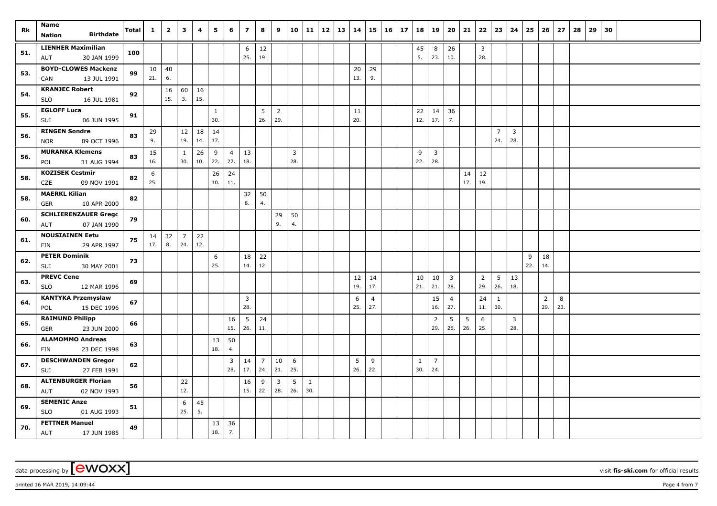| Rk  | Name<br><b>Birthdate</b><br>Nation                 | <b>Total</b> | $\mathbf{1}$ | $\overline{2}$ | 3                   | 4         | 5           | 6                     | $\overline{z}$  | 8              | 9              |                       | 10 11        | 12 | $\vert$ 13 | 14        | 15             | 16 | 17 | 18           | 19                    | 20                             | 21        | 22                    | 23                     | 24                  | 25  | 26             | 27  | 28 | 29 | 30 |  |  |
|-----|----------------------------------------------------|--------------|--------------|----------------|---------------------|-----------|-------------|-----------------------|-----------------|----------------|----------------|-----------------------|--------------|----|------------|-----------|----------------|----|----|--------------|-----------------------|--------------------------------|-----------|-----------------------|------------------------|---------------------|-----|----------------|-----|----|----|----|--|--|
|     | <b>LIENHER Maximilian</b>                          |              |              |                |                     |           |             |                       | 6               | 12             |                |                       |              |    |            |           |                |    |    | 45           | 8                     | 26                             |           | $\overline{3}$        |                        |                     |     |                |     |    |    |    |  |  |
| 51. | 30 JAN 1999<br>AUT                                 | 100          |              |                |                     |           |             |                       | 25.             | 19.            |                |                       |              |    |            |           |                |    |    | 5.           | 23.                   | 10.                            |           | 28.                   |                        |                     |     |                |     |    |    |    |  |  |
|     | <b>BOYD-CLOWES Mackenzi</b>                        |              | 10           | 40             |                     |           |             |                       |                 |                |                |                       |              |    |            | 20        | 29             |    |    |              |                       |                                |           |                       |                        |                     |     |                |     |    |    |    |  |  |
| 53. | 13 JUL 1991<br>CAN                                 | 99           | 21.          | 6.             |                     |           |             |                       |                 |                |                |                       |              |    |            | 13.       | 9.             |    |    |              |                       |                                |           |                       |                        |                     |     |                |     |    |    |    |  |  |
| 54. | <b>KRANJEC Robert</b>                              | 92           |              | 16             | 60                  | 16        |             |                       |                 |                |                |                       |              |    |            |           |                |    |    |              |                       |                                |           |                       |                        |                     |     |                |     |    |    |    |  |  |
|     | <b>SLO</b><br>16 JUL 1981                          |              |              | 15.            | 3.                  | 15.       |             |                       |                 |                |                |                       |              |    |            |           |                |    |    |              |                       |                                |           |                       |                        |                     |     |                |     |    |    |    |  |  |
| 55. | <b>EGLOFF Luca</b>                                 | 91           |              |                |                     |           | 1           |                       |                 | 5              | $\overline{2}$ |                       |              |    |            | 11        |                |    |    | 22           | 14                    | 36                             |           |                       |                        |                     |     |                |     |    |    |    |  |  |
|     | SUI<br>06 JUN 1995                                 |              |              |                |                     |           | 30.         |                       |                 | 26.            | 29.            |                       |              |    |            | 20.       |                |    |    | 12.          | 17.                   | 7.                             |           |                       |                        |                     |     |                |     |    |    |    |  |  |
| 56. | <b>RINGEN Sondre</b><br>09 OCT 1996<br><b>NOR</b>  | 83           | 29<br>9.     |                | $12\,$<br>19.       | 18<br>14. | 14<br>17.   |                       |                 |                |                |                       |              |    |            |           |                |    |    |              |                       |                                |           |                       | $\overline{7}$<br>24.  | $\mathbf{3}$<br>28. |     |                |     |    |    |    |  |  |
| 56. | <b>MURANKA Klemens</b><br>31 AUG 1994              | 83           | 15<br>16.    |                | $\mathbf{1}$<br>30. | 26<br>10. | 9<br>22.    | $\overline{4}$<br>27. | 13<br>18.       |                |                | $\overline{3}$<br>28. |              |    |            |           |                |    |    | 9<br>22.     | $\overline{3}$<br>28. |                                |           |                       |                        |                     |     |                |     |    |    |    |  |  |
|     | POL<br><b>KOZISEK Cestmir</b>                      |              |              |                |                     |           |             |                       |                 |                |                |                       |              |    |            |           |                |    |    |              |                       |                                |           |                       |                        |                     |     |                |     |    |    |    |  |  |
| 58. | CZE<br>09 NOV 1991                                 | 82           | 6<br>25.     |                |                     |           | 26<br>$10.$ | 24<br>11.             |                 |                |                |                       |              |    |            |           |                |    |    |              |                       |                                | 14<br>17. | 12<br>19.             |                        |                     |     |                |     |    |    |    |  |  |
|     | <b>MAERKL Kilian</b>                               |              |              |                |                     |           |             |                       | 32              | 50             |                |                       |              |    |            |           |                |    |    |              |                       |                                |           |                       |                        |                     |     |                |     |    |    |    |  |  |
| 58. | 10 APR 2000<br><b>GER</b>                          | 82           |              |                |                     |           |             |                       | $\bf 8.$        | 4.             |                |                       |              |    |            |           |                |    |    |              |                       |                                |           |                       |                        |                     |     |                |     |    |    |    |  |  |
|     | <b>SCHLIERENZAUER Grego</b>                        |              |              |                |                     |           |             |                       |                 |                | 29             | 50                    |              |    |            |           |                |    |    |              |                       |                                |           |                       |                        |                     |     |                |     |    |    |    |  |  |
| 60. | 07 JAN 1990<br>AUT                                 | 79           |              |                |                     |           |             |                       |                 |                | 9.             | 4.                    |              |    |            |           |                |    |    |              |                       |                                |           |                       |                        |                     |     |                |     |    |    |    |  |  |
| 61. | <b>NOUSIAINEN Eetu</b>                             | 75           | 14           | 32             | $\overline{7}$      | 22        |             |                       |                 |                |                |                       |              |    |            |           |                |    |    |              |                       |                                |           |                       |                        |                     |     |                |     |    |    |    |  |  |
|     | 29 APR 1997<br>FIN                                 |              | 17.          | 8.             | 24.                 | 12.       |             |                       |                 |                |                |                       |              |    |            |           |                |    |    |              |                       |                                |           |                       |                        |                     |     |                |     |    |    |    |  |  |
| 62. | <b>PETER Dominik</b>                               | 73           |              |                |                     |           | 6<br>25.    |                       | 18              | 22             |                |                       |              |    |            |           |                |    |    |              |                       |                                |           |                       |                        |                     | 9   | 18             |     |    |    |    |  |  |
|     | SUI<br>30 MAY 2001                                 |              |              |                |                     |           |             |                       | 14.             | 12.            |                |                       |              |    |            |           |                |    |    |              |                       |                                |           |                       |                        |                     | 22. | 14.            |     |    |    |    |  |  |
| 63. | <b>PREVC Cene</b><br><b>SLO</b><br>12 MAR 1996     | 69           |              |                |                     |           |             |                       |                 |                |                |                       |              |    |            | 12<br>19. | 14<br>17.      |    |    | 10<br>21.    | 10<br>21.             | $\overline{\mathbf{3}}$<br>28. |           | $\overline{2}$<br>29. | $5\phantom{.0}$<br>26. | 13<br>18.           |     |                |     |    |    |    |  |  |
|     | <b>KANTYKA Przemyslaw</b>                          |              |              |                |                     |           |             |                       | $\overline{3}$  |                |                |                       |              |    |            | 6         | $\overline{4}$ |    |    |              | 15                    | $\overline{4}$                 |           | 24                    | 1                      |                     |     | $\overline{2}$ | 8   |    |    |    |  |  |
| 64. | 15 DEC 1996<br>POL                                 | 67           |              |                |                     |           |             |                       | 28.             |                |                |                       |              |    |            | 25.       | 27.            |    |    |              | 16.                   | 27.                            |           | 11.                   | 30.                    |                     |     | 29.            | 23. |    |    |    |  |  |
| 65. | <b>RAIMUND Philipp</b>                             | 66           |              |                |                     |           |             | 16                    | $5\phantom{.0}$ | 24             |                |                       |              |    |            |           |                |    |    |              | $\overline{2}$        | 5                              | 5         | 6                     |                        | $\overline{3}$      |     |                |     |    |    |    |  |  |
|     | 23 JUN 2000<br><b>GER</b>                          |              |              |                |                     |           |             | 15.                   | 26.             | 11.            |                |                       |              |    |            |           |                |    |    |              | 29.                   | 26.                            | 26.       | 25.                   |                        | 28.                 |     |                |     |    |    |    |  |  |
| 66. | <b>ALAMOMMO Andreas</b><br>23 DEC 1998<br>FIN      | 63           |              |                |                     |           | 13<br>18.   | 50<br>4.              |                 |                |                |                       |              |    |            |           |                |    |    |              |                       |                                |           |                       |                        |                     |     |                |     |    |    |    |  |  |
|     | <b>DESCHWANDEN Gregor</b>                          |              |              |                |                     |           |             | $\overline{3}$        | 14              | $\overline{7}$ | 10             | 6                     |              |    |            | 5         | 9              |    |    | $\mathbf{1}$ | $\overline{7}$        |                                |           |                       |                        |                     |     |                |     |    |    |    |  |  |
| 67. | 27 FEB 1991<br>SUI                                 | 62           |              |                |                     |           |             | 28.                   | 17.             | 24.            | 21.            | 25.                   |              |    |            | 26.       | 22.            |    |    | 30.          | 24.                   |                                |           |                       |                        |                     |     |                |     |    |    |    |  |  |
| 68. | <b>ALTENBURGER Florian</b>                         | 56           |              |                | 22                  |           |             |                       | 16              | 9              | $\overline{3}$ | 5                     | $\mathbf{1}$ |    |            |           |                |    |    |              |                       |                                |           |                       |                        |                     |     |                |     |    |    |    |  |  |
|     | AUT<br>02 NOV 1993                                 |              |              |                | 12.                 |           |             |                       | 15.             | 22.            | 28.            | 26.                   | 30.          |    |            |           |                |    |    |              |                       |                                |           |                       |                        |                     |     |                |     |    |    |    |  |  |
| 69. | <b>SEMENIC Anze</b>                                | 51           |              |                | 6<br>25.            | 45<br>5.  |             |                       |                 |                |                |                       |              |    |            |           |                |    |    |              |                       |                                |           |                       |                        |                     |     |                |     |    |    |    |  |  |
|     | <b>SLO</b><br>01 AUG 1993<br><b>FETTNER Manuel</b> |              |              |                |                     |           |             |                       |                 |                |                |                       |              |    |            |           |                |    |    |              |                       |                                |           |                       |                        |                     |     |                |     |    |    |    |  |  |
| 70. | AUT<br>17 JUN 1985                                 | 49           |              |                |                     |           | 13<br>18.   | 36<br>7.              |                 |                |                |                       |              |    |            |           |                |    |    |              |                       |                                |           |                       |                        |                     |     |                |     |    |    |    |  |  |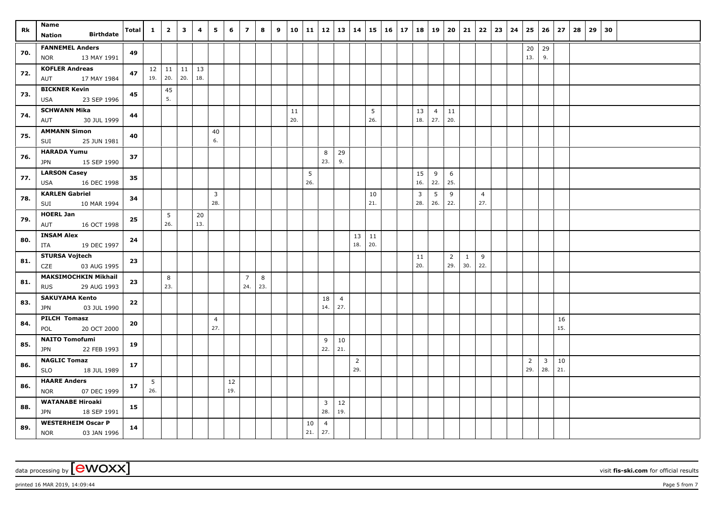| Rk  | Name                                                     | <b>Total</b> | $\mathbf{1}$ | $\overline{2}$              | $\overline{\mathbf{3}}$ | 4         | 5                     | 6         | $\overline{z}$        | 8        | 9 | 10        |           | 11   12   13   14     |                       |                       |           | $15 \mid 16 \mid 17$ | 18        | 19                    | 20                    | 21                  |                       | $22 \mid 23 \mid$ | 24 | 25                    |                                | $26 \mid 27$ | 28 | 29 | 30 |  |  |
|-----|----------------------------------------------------------|--------------|--------------|-----------------------------|-------------------------|-----------|-----------------------|-----------|-----------------------|----------|---|-----------|-----------|-----------------------|-----------------------|-----------------------|-----------|----------------------|-----------|-----------------------|-----------------------|---------------------|-----------------------|-------------------|----|-----------------------|--------------------------------|--------------|----|----|----|--|--|
|     | <b>Birthdate</b><br>Nation                               |              |              |                             |                         |           |                       |           |                       |          |   |           |           |                       |                       |                       |           |                      |           |                       |                       |                     |                       |                   |    |                       |                                |              |    |    |    |  |  |
| 70. | <b>FANNEMEL Anders</b><br>13 MAY 1991<br><b>NOR</b>      | 49           |              |                             |                         |           |                       |           |                       |          |   |           |           |                       |                       |                       |           |                      |           |                       |                       |                     |                       |                   |    | 20<br>13.             | 29<br>9.                       |              |    |    |    |  |  |
| 72. | <b>KOFLER Andreas</b><br>17 MAY 1984<br>AUT              | 47           |              | $12$   11   11  <br>19. 20. | 20.                     | 13<br>18. |                       |           |                       |          |   |           |           |                       |                       |                       |           |                      |           |                       |                       |                     |                       |                   |    |                       |                                |              |    |    |    |  |  |
| 73. | <b>BICKNER Kevin</b><br><b>USA</b><br>23 SEP 1996        | 45           |              | 45<br>5.                    |                         |           |                       |           |                       |          |   |           |           |                       |                       |                       |           |                      |           |                       |                       |                     |                       |                   |    |                       |                                |              |    |    |    |  |  |
| 74. | <b>SCHWANN Mika</b><br>AUT<br>30 JUL 1999                | 44           |              |                             |                         |           |                       |           |                       |          |   | 11<br>20. |           |                       |                       |                       | 5<br>26.  |                      | 13<br>18. | $\overline{4}$<br>27. | 11<br>20.             |                     |                       |                   |    |                       |                                |              |    |    |    |  |  |
| 75. | <b>AMMANN Simon</b><br>SUI<br>25 JUN 1981                | 40           |              |                             |                         |           | 40<br>6.              |           |                       |          |   |           |           |                       |                       |                       |           |                      |           |                       |                       |                     |                       |                   |    |                       |                                |              |    |    |    |  |  |
| 76. | <b>HARADA Yumu</b><br>15 SEP 1990<br><b>JPN</b>          | 37           |              |                             |                         |           |                       |           |                       |          |   |           |           | 8<br>23.              | 29<br>9.              |                       |           |                      |           |                       |                       |                     |                       |                   |    |                       |                                |              |    |    |    |  |  |
| 77. | <b>LARSON Casey</b><br>16 DEC 1998<br>USA                | 35           |              |                             |                         |           |                       |           |                       |          |   |           | 5<br>26.  |                       |                       |                       |           |                      | 15<br>16. | 9<br>22.              | 6<br>25.              |                     |                       |                   |    |                       |                                |              |    |    |    |  |  |
| 78. | <b>KARLEN Gabriel</b><br>10 MAR 1994<br>SUI              | 34           |              |                             |                         |           | $\overline{3}$<br>28. |           |                       |          |   |           |           |                       |                       |                       | 10<br>21. |                      | 3<br>28.  | 5<br>26.              | 9<br>22.              |                     | $\overline{4}$<br>27. |                   |    |                       |                                |              |    |    |    |  |  |
| 79. | <b>HOERL Jan</b><br>AUT<br>16 OCT 1998                   | 25           |              | 5 <sup>5</sup><br>26.       |                         | 20<br>13. |                       |           |                       |          |   |           |           |                       |                       |                       |           |                      |           |                       |                       |                     |                       |                   |    |                       |                                |              |    |    |    |  |  |
| 80. | <b>INSAM Alex</b><br>ITA<br>19 DEC 1997                  | 24           |              |                             |                         |           |                       |           |                       |          |   |           |           |                       |                       | 13<br>18.             | 11<br>20. |                      |           |                       |                       |                     |                       |                   |    |                       |                                |              |    |    |    |  |  |
| 81. | <b>STURSA Vojtech</b><br>CZE<br>03 AUG 1995              | 23           |              |                             |                         |           |                       |           |                       |          |   |           |           |                       |                       |                       |           |                      | 11<br>20. |                       | $\overline{2}$<br>29. | $\mathbf{1}$<br>30. | 9<br>22.              |                   |    |                       |                                |              |    |    |    |  |  |
| 81. | <b>MAKSIMOCHKIN Mikhail</b><br><b>RUS</b><br>29 AUG 1993 | 23           |              | 8<br>23.                    |                         |           |                       |           | $\overline{7}$<br>24. | 8<br>23. |   |           |           |                       |                       |                       |           |                      |           |                       |                       |                     |                       |                   |    |                       |                                |              |    |    |    |  |  |
| 83. | <b>SAKUYAMA Kento</b><br><b>JPN</b><br>03 JUL 1990       | 22           |              |                             |                         |           |                       |           |                       |          |   |           |           | 18<br>14.             | $\overline{4}$<br>27. |                       |           |                      |           |                       |                       |                     |                       |                   |    |                       |                                |              |    |    |    |  |  |
| 84. | <b>PILCH Tomasz</b><br>20 OCT 2000<br>POL                | 20           |              |                             |                         |           | $\overline{4}$<br>27. |           |                       |          |   |           |           |                       |                       |                       |           |                      |           |                       |                       |                     |                       |                   |    |                       |                                | 16<br>15.    |    |    |    |  |  |
| 85. | <b>NAITO Tomofumi</b><br>22 FEB 1993<br><b>JPN</b>       | 19           |              |                             |                         |           |                       |           |                       |          |   |           |           | 9<br>22.              | 10<br>21.             |                       |           |                      |           |                       |                       |                     |                       |                   |    |                       |                                |              |    |    |    |  |  |
| 86. | <b>NAGLIC Tomaz</b><br><b>SLO</b><br>18 JUL 1989         | 17           |              |                             |                         |           |                       |           |                       |          |   |           |           |                       |                       | $\overline{2}$<br>29. |           |                      |           |                       |                       |                     |                       |                   |    | $\overline{2}$<br>29. | $\overline{\mathbf{3}}$<br>28. | 10<br>21.    |    |    |    |  |  |
| 86. | <b>HAARE Anders</b><br><b>NOR</b><br>07 DEC 1999         | 17           | 5<br>26.     |                             |                         |           |                       | 12<br>19. |                       |          |   |           |           |                       |                       |                       |           |                      |           |                       |                       |                     |                       |                   |    |                       |                                |              |    |    |    |  |  |
| 88. | <b>WATANABE Hiroaki</b><br>18 SEP 1991<br><b>JPN</b>     | 15           |              |                             |                         |           |                       |           |                       |          |   |           |           | $\overline{3}$<br>28. | $12$<br>19.           |                       |           |                      |           |                       |                       |                     |                       |                   |    |                       |                                |              |    |    |    |  |  |
| 89. | <b>WESTERHEIM Oscar P</b><br><b>NOR</b><br>03 JAN 1996   | 14           |              |                             |                         |           |                       |           |                       |          |   |           | 10<br>21. | $\overline{4}$<br>27. |                       |                       |           |                      |           |                       |                       |                     |                       |                   |    |                       |                                |              |    |    |    |  |  |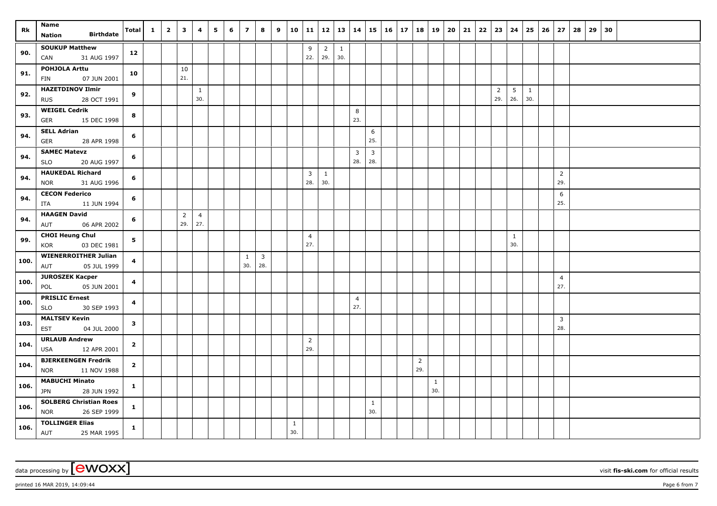| Rk   | Name                                                       | <b>Total</b>            | $\mathbf{1}$ | $\overline{\mathbf{2}}$ | $\overline{\mathbf{3}}$ | 4                     | 5 | 6 | $\overline{\phantom{a}}$ | 8                   | 9 | 10                  | 11                    | $12 \mid 13 \mid 14$  |                       |                       |                       | $15 \mid 16 \mid 17$ | 18                    | 19                  | 20 | 21 | $22 \mid 23 \mid$     | 24                     | 25                  | $26 \mid 27$          | 28 | 29 | 30 |  |  |  |
|------|------------------------------------------------------------|-------------------------|--------------|-------------------------|-------------------------|-----------------------|---|---|--------------------------|---------------------|---|---------------------|-----------------------|-----------------------|-----------------------|-----------------------|-----------------------|----------------------|-----------------------|---------------------|----|----|-----------------------|------------------------|---------------------|-----------------------|----|----|----|--|--|--|
|      | <b>Birthdate</b><br><b>Nation</b>                          |                         |              |                         |                         |                       |   |   |                          |                     |   |                     |                       |                       |                       |                       |                       |                      |                       |                     |    |    |                       |                        |                     |                       |    |    |    |  |  |  |
| 90.  | <b>SOUKUP Matthew</b><br>31 AUG 1997<br>CAN                | 12                      |              |                         |                         |                       |   |   |                          |                     |   |                     | 9<br>22.              | $\overline{2}$<br>29. | $\overline{1}$<br>30. |                       |                       |                      |                       |                     |    |    |                       |                        |                     |                       |    |    |    |  |  |  |
| 91.  | POHJOLA Arttu<br>07 JUN 2001<br>FIN                        | 10                      |              |                         | 10<br>21.               |                       |   |   |                          |                     |   |                     |                       |                       |                       |                       |                       |                      |                       |                     |    |    |                       |                        |                     |                       |    |    |    |  |  |  |
| 92.  | <b>HAZETDINOV Ilmir</b><br>28 OCT 1991<br><b>RUS</b>       | 9                       |              |                         |                         | $\mathbf{1}$<br>30.   |   |   |                          |                     |   |                     |                       |                       |                       |                       |                       |                      |                       |                     |    |    | $\overline{2}$<br>29. | $5\phantom{.0}$<br>26. | $\mathbf{1}$<br>30. |                       |    |    |    |  |  |  |
| 93.  | <b>WEIGEL Cedrik</b><br>GER<br>15 DEC 1998                 | 8                       |              |                         |                         |                       |   |   |                          |                     |   |                     |                       |                       |                       | 8<br>23.              |                       |                      |                       |                     |    |    |                       |                        |                     |                       |    |    |    |  |  |  |
| 94.  | <b>SELL Adrian</b><br><b>GER</b><br>28 APR 1998            | 6                       |              |                         |                         |                       |   |   |                          |                     |   |                     |                       |                       |                       |                       | 6<br>25.              |                      |                       |                     |    |    |                       |                        |                     |                       |    |    |    |  |  |  |
| 94.  | <b>SAMEC Matevz</b><br><b>SLO</b><br>20 AUG 1997           | 6                       |              |                         |                         |                       |   |   |                          |                     |   |                     |                       |                       |                       | $\overline{3}$<br>28. | $\overline{3}$<br>28. |                      |                       |                     |    |    |                       |                        |                     |                       |    |    |    |  |  |  |
| 94.  | <b>HAUKEDAL Richard</b><br>31 AUG 1996<br><b>NOR</b>       | 6                       |              |                         |                         |                       |   |   |                          |                     |   |                     | 3<br>28.              | 1<br>30.              |                       |                       |                       |                      |                       |                     |    |    |                       |                        |                     | $\overline{2}$<br>29. |    |    |    |  |  |  |
| 94.  | <b>CECON Federico</b><br>11 JUN 1994<br>ITA                | 6                       |              |                         |                         |                       |   |   |                          |                     |   |                     |                       |                       |                       |                       |                       |                      |                       |                     |    |    |                       |                        |                     | 6<br>25.              |    |    |    |  |  |  |
| 94.  | <b>HAAGEN David</b><br>AUT<br>06 APR 2002                  | 6                       |              |                         | $\overline{2}$<br>29.   | $\overline{4}$<br>27. |   |   |                          |                     |   |                     |                       |                       |                       |                       |                       |                      |                       |                     |    |    |                       |                        |                     |                       |    |    |    |  |  |  |
| 99.  | <b>CHOI Heung Chul</b><br>03 DEC 1981<br>KOR               | $5\phantom{a}$          |              |                         |                         |                       |   |   |                          |                     |   |                     | $\overline{4}$<br>27. |                       |                       |                       |                       |                      |                       |                     |    |    |                       | $\mathbf{1}$<br>30.    |                     |                       |    |    |    |  |  |  |
| 100. | <b>WIENERROITHER Julian</b><br>05 JUL 1999<br>AUT          | $\overline{\mathbf{4}}$ |              |                         |                         |                       |   |   | $\mathbf{1}$<br>30.      | $\mathbf{3}$<br>28. |   |                     |                       |                       |                       |                       |                       |                      |                       |                     |    |    |                       |                        |                     |                       |    |    |    |  |  |  |
| 100. | <b>JUROSZEK Kacper</b><br>05 JUN 2001<br>POL               | $\overline{\mathbf{4}}$ |              |                         |                         |                       |   |   |                          |                     |   |                     |                       |                       |                       |                       |                       |                      |                       |                     |    |    |                       |                        |                     | $\overline{4}$<br>27. |    |    |    |  |  |  |
| 100. | <b>PRISLIC Ernest</b><br>30 SEP 1993<br><b>SLO</b>         | $\overline{\mathbf{4}}$ |              |                         |                         |                       |   |   |                          |                     |   |                     |                       |                       |                       | $\overline{4}$<br>27. |                       |                      |                       |                     |    |    |                       |                        |                     |                       |    |    |    |  |  |  |
| 103. | <b>MALTSEV Kevin</b><br><b>EST</b><br>04 JUL 2000          | $\mathbf{3}$            |              |                         |                         |                       |   |   |                          |                     |   |                     |                       |                       |                       |                       |                       |                      |                       |                     |    |    |                       |                        |                     | $\overline{3}$<br>28. |    |    |    |  |  |  |
| 104. | <b>URLAUB Andrew</b><br>12 APR 2001<br><b>USA</b>          | $\overline{2}$          |              |                         |                         |                       |   |   |                          |                     |   |                     | $\overline{2}$<br>29. |                       |                       |                       |                       |                      |                       |                     |    |    |                       |                        |                     |                       |    |    |    |  |  |  |
| 104. | <b>BJERKEENGEN Fredrik</b><br><b>NOR</b><br>11 NOV 1988    | $\overline{2}$          |              |                         |                         |                       |   |   |                          |                     |   |                     |                       |                       |                       |                       |                       |                      | $\overline{2}$<br>29. |                     |    |    |                       |                        |                     |                       |    |    |    |  |  |  |
| 106. | <b>MABUCHI Minato</b><br>28 JUN 1992<br><b>JPN</b>         | $\mathbf{1}$            |              |                         |                         |                       |   |   |                          |                     |   |                     |                       |                       |                       |                       |                       |                      |                       | $\mathbf{1}$<br>30. |    |    |                       |                        |                     |                       |    |    |    |  |  |  |
| 106. | <b>SOLBERG Christian Roes</b><br>26 SEP 1999<br><b>NOR</b> | $\mathbf{1}$            |              |                         |                         |                       |   |   |                          |                     |   |                     |                       |                       |                       |                       | $\mathbf{1}$<br>30.   |                      |                       |                     |    |    |                       |                        |                     |                       |    |    |    |  |  |  |
| 106. | <b>TOLLINGER Elias</b><br>AUT<br>25 MAR 1995               | $\mathbf{1}$            |              |                         |                         |                       |   |   |                          |                     |   | $\mathbf{1}$<br>30. |                       |                       |                       |                       |                       |                      |                       |                     |    |    |                       |                        |                     |                       |    |    |    |  |  |  |